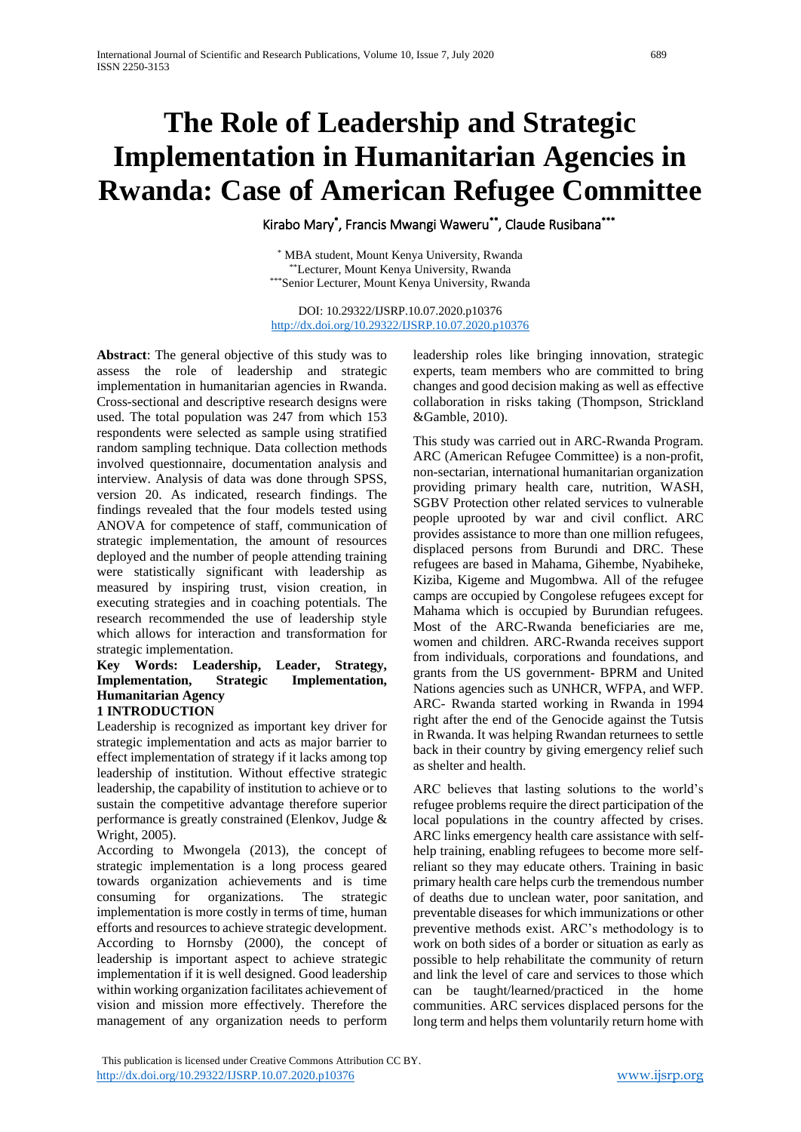# **The Role of Leadership and Strategic Implementation in Humanitarian Agencies in Rwanda: Case of American Refugee Committee**

Kirabo Mary\* , Francis Mwangi Waweru\*\*, Claude Rusibana\*\*\*

\* MBA student, Mount Kenya University, Rwanda \*\*Lecturer, Mount Kenya University, Rwanda \*\*\*Senior Lecturer, Mount Kenya University, Rwanda

DOI: 10.29322/IJSRP.10.07.2020.p10376 <http://dx.doi.org/10.29322/IJSRP.10.07.2020.p10376>

**Abstract**: The general objective of this study was to assess the role of leadership and strategic implementation in humanitarian agencies in Rwanda. Cross-sectional and descriptive research designs were used. The total population was 247 from which 153 respondents were selected as sample using stratified random sampling technique. Data collection methods involved questionnaire, documentation analysis and interview. Analysis of data was done through SPSS, version 20. As indicated, research findings. The findings revealed that the four models tested using ANOVA for competence of staff, communication of strategic implementation, the amount of resources deployed and the number of people attending training were statistically significant with leadership as measured by inspiring trust, vision creation, in executing strategies and in coaching potentials. The research recommended the use of leadership style which allows for interaction and transformation for strategic implementation.

# **Key Words: Leadership, Leader, Strategy, Implementation, Strategic Implementation, Humanitarian Agency**

# **1 INTRODUCTION**

Leadership is recognized as important key driver for strategic implementation and acts as major barrier to effect implementation of strategy if it lacks among top leadership of institution. Without effective strategic leadership, the capability of institution to achieve or to sustain the competitive advantage therefore superior performance is greatly constrained (Elenkov, Judge & Wright, 2005).

According to Mwongela (2013), the concept of strategic implementation is a long process geared towards organization achievements and is time consuming for organizations. The strategic implementation is more costly in terms of time, human efforts and resources to achieve strategic development. According to Hornsby (2000), the concept of leadership is important aspect to achieve strategic implementation if it is well designed. Good leadership within working organization facilitates achievement of vision and mission more effectively. Therefore the management of any organization needs to perform

leadership roles like bringing innovation, strategic experts, team members who are committed to bring changes and good decision making as well as effective collaboration in risks taking (Thompson, Strickland &Gamble, 2010).

This study was carried out in ARC-Rwanda Program. ARC (American Refugee Committee) is a non-profit, non-sectarian, international humanitarian organization providing primary health care, nutrition, WASH, SGBV Protection other related services to vulnerable people uprooted by war and civil conflict. ARC provides assistance to more than one million refugees, displaced persons from Burundi and DRC. These refugees are based in Mahama, Gihembe, Nyabiheke, Kiziba, Kigeme and Mugombwa. All of the refugee camps are occupied by Congolese refugees except for Mahama which is occupied by Burundian refugees. Most of the ARC-Rwanda beneficiaries are me, women and children. ARC-Rwanda receives support from individuals, corporations and foundations, and grants from the US government- BPRM and United Nations agencies such as UNHCR, WFPA, and WFP. ARC- Rwanda started working in Rwanda in 1994 right after the end of the Genocide against the Tutsis in Rwanda. It was helping Rwandan returnees to settle back in their country by giving emergency relief such as shelter and health.

ARC believes that lasting solutions to the world's refugee problems require the direct participation of the local populations in the country affected by crises. ARC links emergency health care assistance with selfhelp training, enabling refugees to become more selfreliant so they may educate others. Training in basic primary health care helps curb the tremendous number of deaths due to unclean water, poor sanitation, and preventable diseases for which immunizations or other preventive methods exist. ARC's methodology is to work on both sides of a border or situation as early as possible to help rehabilitate the community of return and link the level of care and services to those which can be taught/learned/practiced in the home communities. ARC services displaced persons for the long term and helps them voluntarily return home with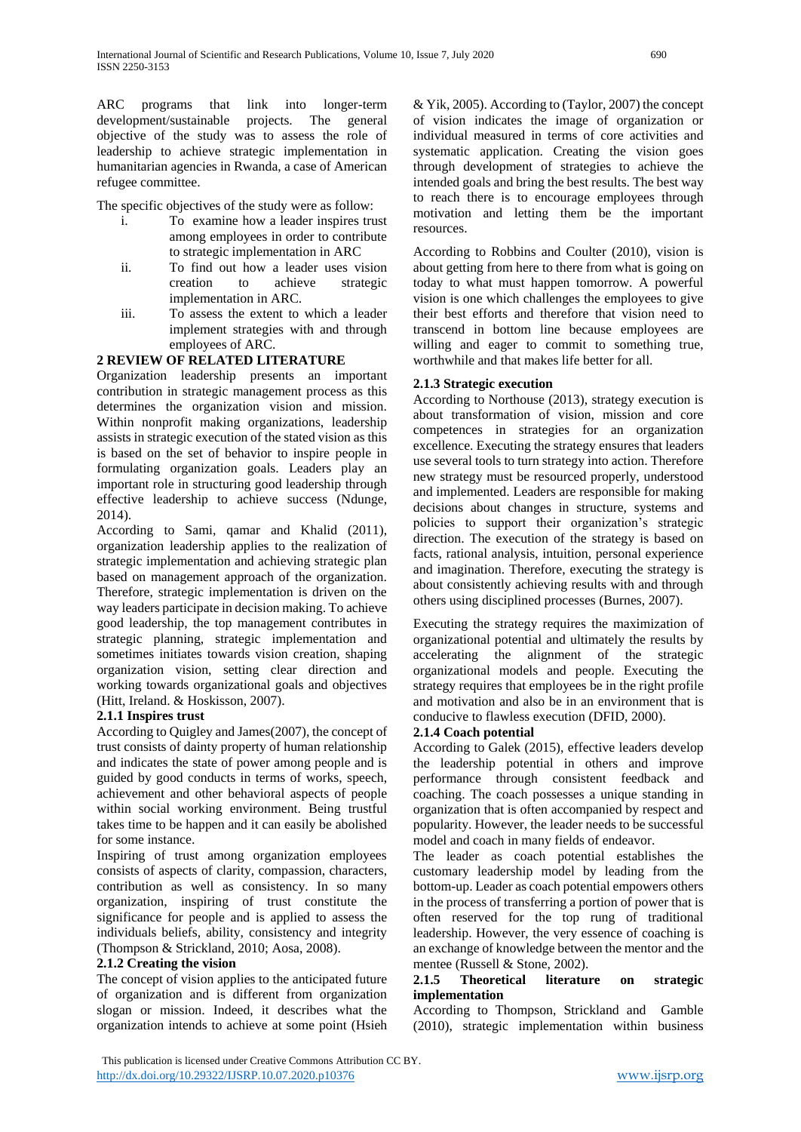ARC programs that link into longer-term development/sustainable projects. The general objective of the study was to assess the role of leadership to achieve strategic implementation in humanitarian agencies in Rwanda, a case of American refugee committee.

The specific objectives of the study were as follow:

- i. To examine how a leader inspires trust among employees in order to contribute to strategic implementation in ARC
- ii. To find out how a leader uses vision creation to achieve strategic implementation in ARC.
- iii. To assess the extent to which a leader implement strategies with and through employees of ARC.

# **2 REVIEW OF RELATED LITERATURE**

Organization leadership presents an important contribution in strategic management process as this determines the organization vision and mission. Within nonprofit making organizations, leadership assists in strategic execution of the stated vision as this is based on the set of behavior to inspire people in formulating organization goals. Leaders play an important role in structuring good leadership through effective leadership to achieve success (Ndunge, 2014).

According to Sami, qamar and Khalid (2011), organization leadership applies to the realization of strategic implementation and achieving strategic plan based on management approach of the organization. Therefore, strategic implementation is driven on the way leaders participate in decision making. To achieve good leadership, the top management contributes in strategic planning, strategic implementation and sometimes initiates towards vision creation, shaping organization vision, setting clear direction and working towards organizational goals and objectives (Hitt, Ireland. & Hoskisson, 2007).

## **2.1.1 Inspires trust**

According to Quigley and James(2007), the concept of trust consists of dainty property of human relationship and indicates the state of power among people and is guided by good conducts in terms of works, speech, achievement and other behavioral aspects of people within social working environment. Being trustful takes time to be happen and it can easily be abolished for some instance.

Inspiring of trust among organization employees consists of aspects of clarity, compassion, characters, contribution as well as consistency. In so many organization, inspiring of trust constitute the significance for people and is applied to assess the individuals beliefs, ability, consistency and integrity (Thompson & Strickland, 2010; Aosa, 2008).

# **2.1.2 Creating the vision**

The concept of vision applies to the anticipated future of organization and is different from organization slogan or mission. Indeed, it describes what the organization intends to achieve at some point (Hsieh

& Yik, 2005). According to (Taylor, 2007) the concept of vision indicates the image of organization or individual measured in terms of core activities and systematic application. Creating the vision goes through development of strategies to achieve the intended goals and bring the best results. The best way to reach there is to encourage employees through motivation and letting them be the important resources.

According to Robbins and Coulter (2010), vision is about getting from here to there from what is going on today to what must happen tomorrow. A powerful vision is one which challenges the employees to give their best efforts and therefore that vision need to transcend in bottom line because employees are willing and eager to commit to something true, worthwhile and that makes life better for all.

## **2.1.3 Strategic execution**

According to Northouse (2013), strategy execution is about transformation of vision, mission and core competences in strategies for an organization excellence. Executing the strategy ensures that leaders use several tools to turn strategy into action. Therefore new strategy must be resourced properly, understood and implemented. Leaders are responsible for making decisions about changes in structure, systems and policies to support their organization's strategic direction. The execution of the strategy is based on facts, rational analysis, intuition, personal experience and imagination. Therefore, executing the strategy is about consistently achieving results with and through others using disciplined processes (Burnes, 2007).

Executing the strategy requires the maximization of organizational potential and ultimately the results by accelerating the alignment of the strategic organizational models and people. Executing the strategy requires that employees be in the right profile and motivation and also be in an environment that is conducive to flawless execution (DFID, 2000).

## **2.1.4 Coach potential**

According to Galek (2015), effective leaders develop the leadership potential in others and improve performance through consistent feedback and coaching. The coach possesses a unique standing in organization that is often accompanied by respect and popularity. However, the leader needs to be successful model and coach in many fields of endeavor.

The leader as coach potential establishes the customary leadership model by leading from the bottom-up. Leader as coach potential empowers others in the process of transferring a portion of power that is often reserved for the top rung of traditional leadership. However, the very essence of coaching is an exchange of knowledge between the mentor and the mentee (Russell & Stone, 2002).

# **2.1.5 Theoretical literature on strategic implementation**

According to Thompson, Strickland and Gamble (2010), strategic implementation within business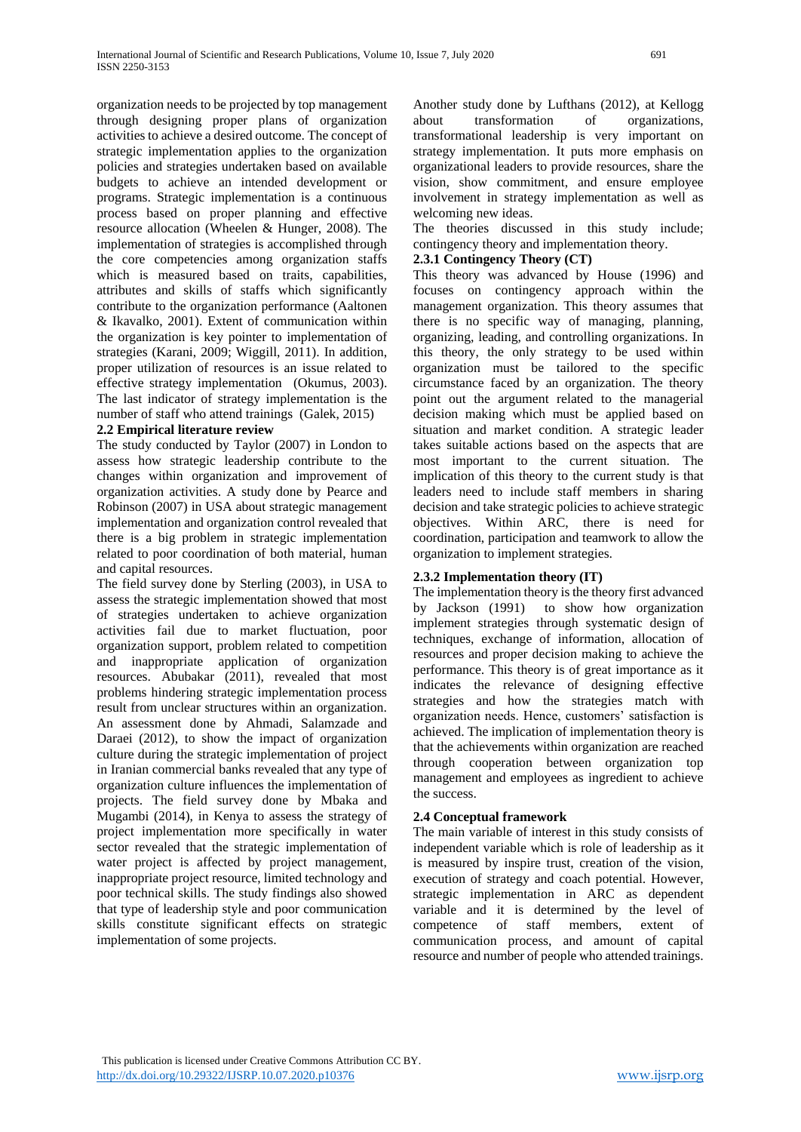organization needs to be projected by top management through designing proper plans of organization activities to achieve a desired outcome. The concept of strategic implementation applies to the organization policies and strategies undertaken based on available budgets to achieve an intended development or programs. Strategic implementation is a continuous process based on proper planning and effective resource allocation (Wheelen & Hunger, 2008). The implementation of strategies is accomplished through the core competencies among organization staffs which is measured based on traits, capabilities, attributes and skills of staffs which significantly contribute to the organization performance (Aaltonen & Ikavalko, 2001). Extent of communication within the organization is key pointer to implementation of strategies (Karani, 2009; Wiggill, 2011). In addition, proper utilization of resources is an issue related to effective strategy implementation (Okumus, 2003). The last indicator of strategy implementation is the number of staff who attend trainings (Galek, 2015)

## **2.2 Empirical literature review**

The study conducted by Taylor (2007) in London to assess how strategic leadership contribute to the changes within organization and improvement of organization activities. A study done by Pearce and Robinson (2007) in USA about strategic management implementation and organization control revealed that there is a big problem in strategic implementation related to poor coordination of both material, human and capital resources.

The field survey done by Sterling (2003), in USA to assess the strategic implementation showed that most of strategies undertaken to achieve organization activities fail due to market fluctuation, poor organization support, problem related to competition and inappropriate application of organization resources. Abubakar (2011), revealed that most problems hindering strategic implementation process result from unclear structures within an organization. An assessment done by Ahmadi, Salamzade and Daraei (2012), to show the impact of organization culture during the strategic implementation of project in Iranian commercial banks revealed that any type of organization culture influences the implementation of projects. The field survey done by Mbaka and Mugambi (2014), in Kenya to assess the strategy of project implementation more specifically in water sector revealed that the strategic implementation of water project is affected by project management, inappropriate project resource, limited technology and poor technical skills. The study findings also showed that type of leadership style and poor communication skills constitute significant effects on strategic implementation of some projects.

Another study done by Lufthans (2012), at Kellogg about transformation of organizations, transformational leadership is very important on strategy implementation. It puts more emphasis on organizational leaders to provide resources, share the vision, show commitment, and ensure employee involvement in strategy implementation as well as welcoming new ideas.

The theories discussed in this study include; contingency theory and implementation theory.

## **2.3.1 Contingency Theory (CT)**

This theory was advanced by House (1996) and focuses on contingency approach within the management organization. This theory assumes that there is no specific way of managing, planning, organizing, leading, and controlling organizations. In this theory, the only strategy to be used within organization must be tailored to the specific circumstance faced by an organization. The theory point out the argument related to the managerial decision making which must be applied based on situation and market condition. A strategic leader takes suitable actions based on the aspects that are most important to the current situation. The implication of this theory to the current study is that leaders need to include staff members in sharing decision and take strategic policies to achieve strategic objectives. Within ARC, there is need for coordination, participation and teamwork to allow the organization to implement strategies.

## **2.3.2 Implementation theory (IT)**

The implementation theory is the theory first advanced by Jackson (1991) to show how organization implement strategies through systematic design of techniques, exchange of information, allocation of resources and proper decision making to achieve the performance. This theory is of great importance as it indicates the relevance of designing effective strategies and how the strategies match with organization needs. Hence, customers' satisfaction is achieved. The implication of implementation theory is that the achievements within organization are reached through cooperation between organization top management and employees as ingredient to achieve the success.

## **2.4 Conceptual framework**

The main variable of interest in this study consists of independent variable which is role of leadership as it is measured by inspire trust, creation of the vision, execution of strategy and coach potential. However, strategic implementation in ARC as dependent variable and it is determined by the level of competence of staff members, extent of communication process, and amount of capital resource and number of people who attended trainings.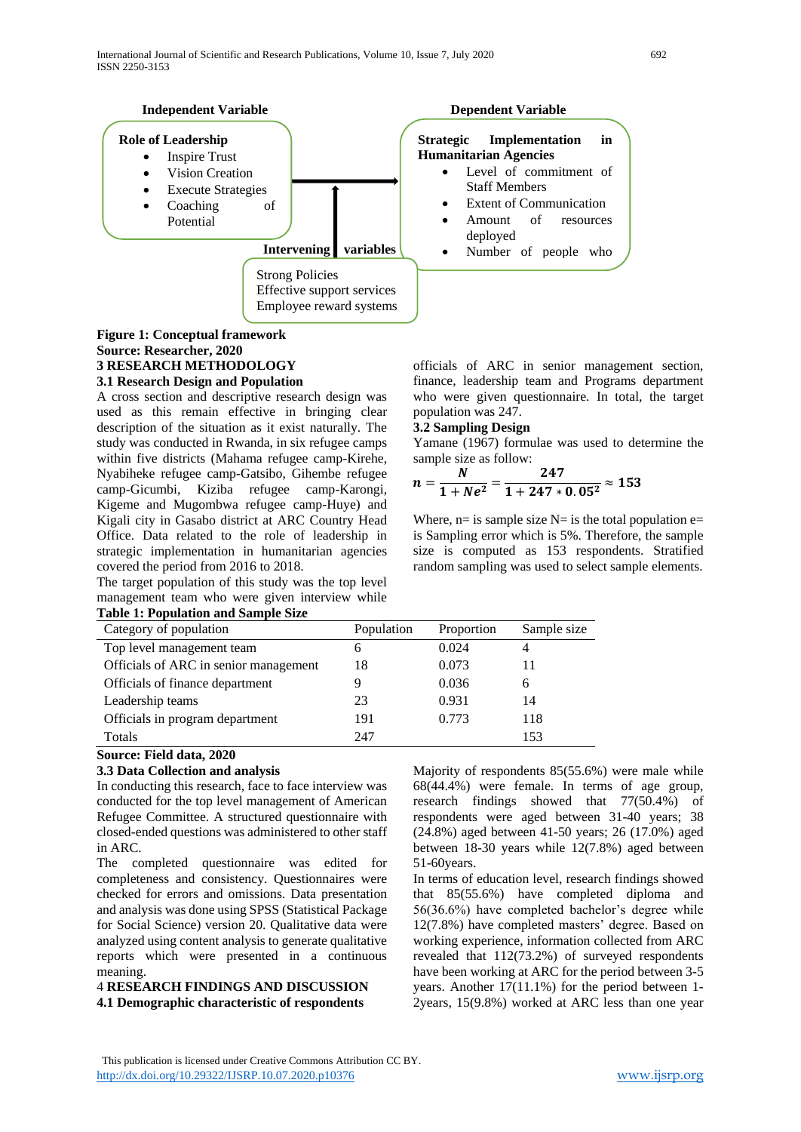

# **Figure 1: Conceptual framework Source: Researcher, 2020 3 RESEARCH METHODOLOGY**

## **3.1 Research Design and Population**

A cross section and descriptive research design was used as this remain effective in bringing clear description of the situation as it exist naturally. The study was conducted in Rwanda, in six refugee camps within five districts (Mahama refugee camp-Kirehe, Nyabiheke refugee camp-Gatsibo, Gihembe refugee camp-Gicumbi, Kiziba refugee camp-Karongi, Kigeme and Mugombwa refugee camp-Huye) and Kigali city in Gasabo district at ARC Country Head Office. Data related to the role of leadership in strategic implementation in humanitarian agencies covered the period from 2016 to 2018.

The target population of this study was the top level management team who were given interview while **Table 1: Population and Sample Size**

officials of ARC in senior management section, finance, leadership team and Programs department who were given questionnaire. In total, the target population was 247.

#### **3.2 Sampling Design**

Yamane (1967) formulae was used to determine the sample size as follow:

$$
n=\frac{N}{1+Ne^2}=\frac{247}{1+247*0.05^2}\approx 153
$$

Where,  $n=$  is sample size  $N=$  is the total population e= is Sampling error which is 5%. Therefore, the sample size is computed as 153 respondents. Stratified random sampling was used to select sample elements.

| Table 1: I optimation and Sample Size |              |            |             |
|---------------------------------------|--------------|------------|-------------|
| Category of population                | Population   | Proportion | Sample size |
| Top level management team             | <sub>b</sub> | 0.024      |             |
| Officials of ARC in senior management | 18           | 0.073      | 11          |
| Officials of finance department       |              | 0.036      | 6           |
| Leadership teams                      | 23           | 0.931      | 14          |
| Officials in program department       | 191          | 0.773      | 118         |
| Totals                                | 247          |            | 153         |

## **Source: Field data, 2020**

## **3.3 Data Collection and analysis**

In conducting this research, face to face interview was conducted for the top level management of American Refugee Committee. A structured questionnaire with closed-ended questions was administered to other staff in ARC.

The completed questionnaire was edited for completeness and consistency. Questionnaires were checked for errors and omissions. Data presentation and analysis was done using SPSS (Statistical Package for Social Science) version 20. Qualitative data were analyzed using content analysis to generate qualitative reports which were presented in a continuous meaning.

# 4 **RESEARCH FINDINGS AND DISCUSSION 4.1 Demographic characteristic of respondents**

Majority of respondents 85(55.6%) were male while 68(44.4%) were female. In terms of age group, research findings showed that 77(50.4%) of respondents were aged between 31-40 years; 38 (24.8%) aged between 41-50 years; 26 (17.0%) aged between 18-30 years while 12(7.8%) aged between 51-60years.

In terms of education level, research findings showed that 85(55.6%) have completed diploma and 56(36.6%) have completed bachelor's degree while 12(7.8%) have completed masters' degree. Based on working experience, information collected from ARC revealed that 112(73.2%) of surveyed respondents have been working at ARC for the period between 3-5 years. Another 17(11.1%) for the period between 1- 2years, 15(9.8%) worked at ARC less than one year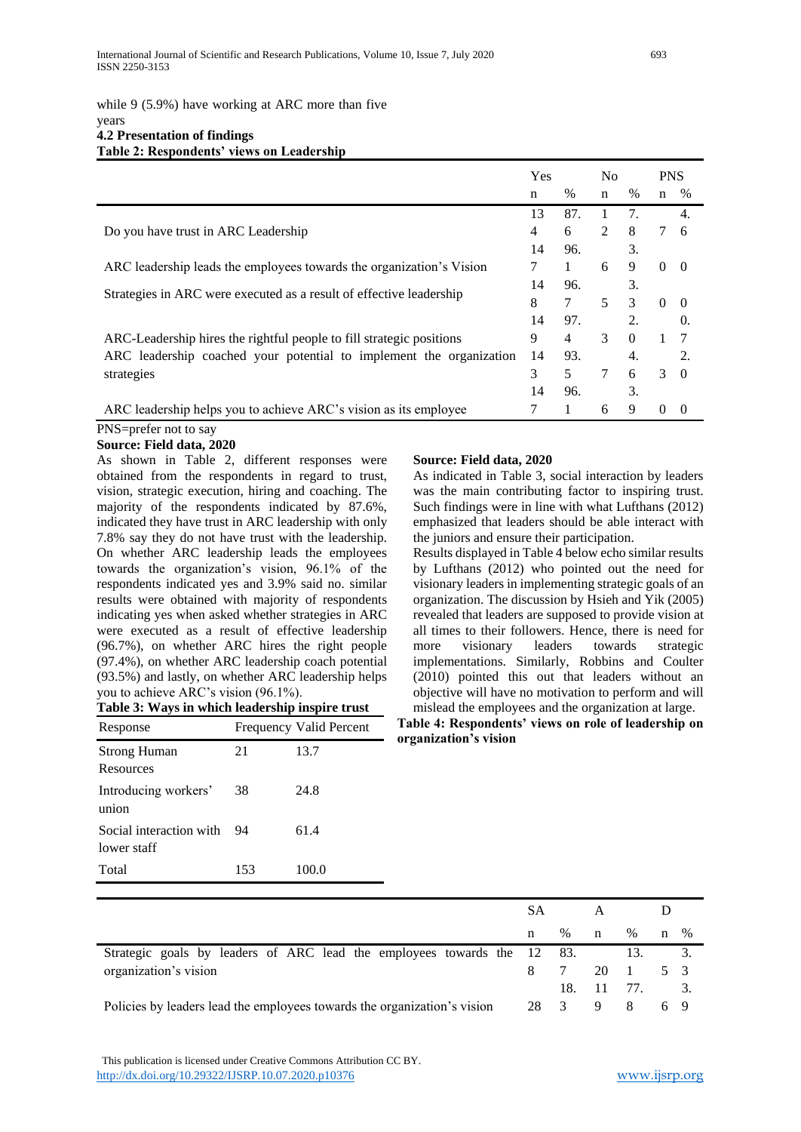# while 9 (5.9%) have working at ARC more than five

#### years **4.2 Presentation of findings Table 2: Respondents' views on Leadership**

|                                                                                 | Yes |      | N <sub>0</sub> |               | <b>PNS</b>  |                |
|---------------------------------------------------------------------------------|-----|------|----------------|---------------|-------------|----------------|
|                                                                                 | n   | $\%$ | $\mathbf n$    | $\frac{0}{0}$ | $\mathbf n$ | %              |
|                                                                                 | 13  | 87.  | 1              | 7.            |             | 4.             |
| Do you have trust in ARC Leadership                                             | 4   | 6    | $\overline{2}$ | 8             | 7           | -6             |
|                                                                                 | 14  | 96.  |                | 3.            |             |                |
| ARC leadership leads the employees towards the organization's Vision            | 7   |      | 6              | 9             | $\Omega$    | $\theta$       |
|                                                                                 |     | 96.  |                | 3.            |             |                |
| Strategies in ARC were executed as a result of effective leadership             | 8   | 7    | 5              | 3             | $\Omega$    | $\theta$       |
|                                                                                 | 14  | 97.  |                | 2.            |             | 0.             |
| ARC-Leadership hires the rightful people to fill strategic positions            | 9   | 4    | 3              | $\Omega$      |             | 7              |
| ARC leadership coached your potential to implement the organization             | 14  | 93.  |                | 4.            |             | 2.             |
| strategies                                                                      | 3   | 5    | 7              | 6             | 3           | $\theta$       |
|                                                                                 | 14  | 96.  |                | 3.            |             |                |
| ARC leadership helps you to achieve ARC's vision as its employee<br><b>DITA</b> | 7   | 1    | 6              | 9             | $\Omega$    | $\overline{0}$ |

#### PNS=prefer not to say **Source: Field data, 2020**

As shown in Table 2, different responses were obtained from the respondents in regard to trust, vision, strategic execution, hiring and coaching. The majority of the respondents indicated by 87.6%, indicated they have trust in ARC leadership with only 7.8% say they do not have trust with the leadership. On whether ARC leadership leads the employees towards the organization's vision, 96.1% of the respondents indicated yes and 3.9% said no. similar results were obtained with majority of respondents indicating yes when asked whether strategies in ARC were executed as a result of effective leadership (96.7%), on whether ARC hires the right people (97.4%), on whether ARC leadership coach potential (93.5%) and lastly, on whether ARC leadership helps you to achieve ARC's vision (96.1%).

**Table 3: Ways in which leadership inspire trust**

| Response                               |     | Frequency Valid Percent |
|----------------------------------------|-----|-------------------------|
| <b>Strong Human</b><br>Resources       | 21  | 13.7                    |
| Introducing workers'<br>union          | 38  | 24.8                    |
| Social interaction with<br>lower staff | 94  | 61.4                    |
| Total                                  | 153 | 100.0                   |

## **Source: Field data, 2020**

As indicated in Table 3, social interaction by leaders was the main contributing factor to inspiring trust. Such findings were in line with what Lufthans (2012) emphasized that leaders should be able interact with the juniors and ensure their participation.

Results displayed in Table 4 below echo similar results by Lufthans (2012) who pointed out the need for visionary leaders in implementing strategic goals of an organization. The discussion by Hsieh and Yik (2005) revealed that leaders are supposed to provide vision at all times to their followers. Hence, there is need for more visionary leaders towards strategic implementations. Similarly, Robbins and Coulter (2010) pointed this out that leaders without an objective will have no motivation to perform and will mislead the employees and the organization at large.

## **Table 4: Respondents' views on role of leadership on organization's vision**

|                                                                          | SА |                         |        |      |              |             |
|--------------------------------------------------------------------------|----|-------------------------|--------|------|--------------|-------------|
|                                                                          | n  | $\%$                    | n      | $\%$ | $\mathbf{n}$ | $\%$        |
| Strategic goals by leaders of ARC lead the employees towards the 12 83.  |    |                         |        |      |              |             |
| organization's vision                                                    |    | 7                       |        | 20 1 |              | $5 \quad 3$ |
|                                                                          |    | 18.                     | 11 77. |      |              | 3.          |
| Policies by leaders lead the employees towards the organization's vision | 28 | $\overline{\mathbf{3}}$ | 9      | 8    |              | 69          |

 This publication is licensed under Creative Commons Attribution CC BY. <http://dx.doi.org/10.29322/IJSRP.10.07.2020.p10376> [www.ijsrp.org](http://ijsrp.org/)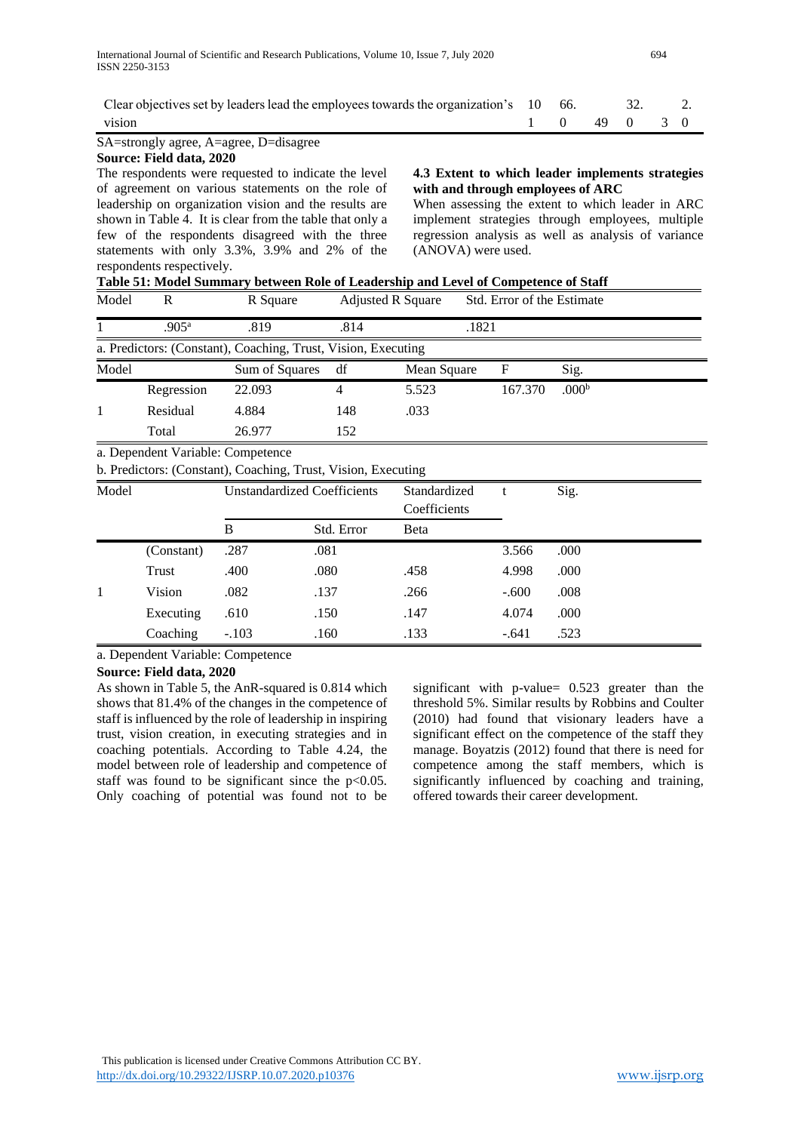| Clear objectives set by leaders lead the employees towards the organization's $10\quad 66.$ 32.                               |  |              |  |
|-------------------------------------------------------------------------------------------------------------------------------|--|--------------|--|
| vision                                                                                                                        |  | 1 0 49 0 3 0 |  |
| $\mathbf{C}$ A set of $\mathbf{L}$ is a set of $\mathbf{A}$ is a set of $\mathbf{D}$ if $\mathbf{L}$ is a set of $\mathbf{L}$ |  |              |  |

#### SA=strongly agree, A=agree, D=disagree **Source: Field data, 2020**

The respondents were requested to indicate the level of agreement on various statements on the role of leadership on organization vision and the results are shown in Table 4. It is clear from the table that only a few of the respondents disagreed with the three statements with only 3.3%, 3.9% and 2% of the respondents respectively.

## **4.3 Extent to which leader implements strategies with and through employees of ARC**

When assessing the extent to which leader in ARC implement strategies through employees, multiple regression analysis as well as analysis of variance (ANOVA) were used.

| Table 51: Model Summary between Role of Leadership and Level of Competence of Staff |  |
|-------------------------------------------------------------------------------------|--|
|-------------------------------------------------------------------------------------|--|

| Model | R                 | R Square                                                      |      | <b>Adjusted R Square</b> | Std. Error of the Estimate |                   |  |
|-------|-------------------|---------------------------------------------------------------|------|--------------------------|----------------------------|-------------------|--|
|       | .905 <sup>a</sup> | .819                                                          | .814 |                          | .1821                      |                   |  |
|       |                   | a. Predictors: (Constant), Coaching, Trust, Vision, Executing |      |                          |                            |                   |  |
| Model |                   | Sum of Squares                                                | df   | Mean Square              | F                          | Sig.              |  |
|       | Regression        | 22.093                                                        |      | 5.523                    | 167.370                    | .000 <sup>b</sup> |  |
|       | Residual          | 4.884                                                         | 148  | .033                     |                            |                   |  |
|       | Total             | 26.977                                                        | 152  |                          |                            |                   |  |

a. Dependent Variable: Competence

b. Predictors: (Constant), Coaching, Trust, Vision, Executing

| Model |            |         | <b>Unstandardized Coefficients</b> | Standardized<br>Coefficients |         | Sig. |  |
|-------|------------|---------|------------------------------------|------------------------------|---------|------|--|
|       |            | В       | Std. Error                         | Beta                         |         |      |  |
|       | (Constant) | .287    | .081                               |                              | 3.566   | .000 |  |
|       | Trust      | .400    | .080                               | .458                         | 4.998   | .000 |  |
|       | Vision     | .082    | .137                               | .266                         | $-.600$ | .008 |  |
|       | Executing  | .610    | .150                               | .147                         | 4.074   | .000 |  |
|       | Coaching   | $-.103$ | .160                               | .133                         | $-.641$ | .523 |  |

a. Dependent Variable: Competence

## **Source: Field data, 2020**

As shown in Table 5, the AnR-squared is 0.814 which shows that 81.4% of the changes in the competence of staff is influenced by the role of leadership in inspiring trust, vision creation, in executing strategies and in coaching potentials. According to Table 4.24, the model between role of leadership and competence of staff was found to be significant since the  $p<0.05$ . Only coaching of potential was found not to be

significant with p-value= 0.523 greater than the threshold 5%. Similar results by Robbins and Coulter (2010) had found that visionary leaders have a significant effect on the competence of the staff they manage. Boyatzis (2012) found that there is need for competence among the staff members, which is significantly influenced by coaching and training, offered towards their career development.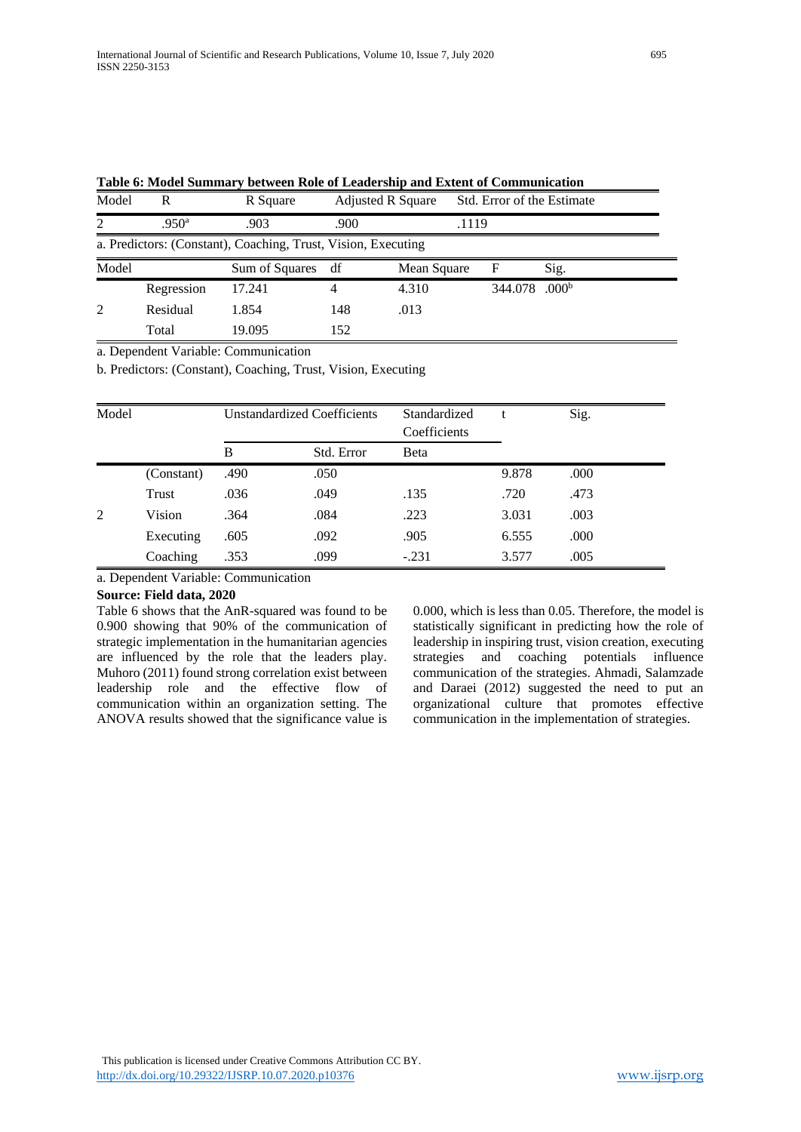| Model | R                 | R Square                                                      |      | <b>Adjusted R Square</b> | Std. Error of the Estimate |                   |  |
|-------|-------------------|---------------------------------------------------------------|------|--------------------------|----------------------------|-------------------|--|
| 2     | .950 <sup>a</sup> | .903                                                          | .900 |                          | .1119                      |                   |  |
|       |                   | a. Predictors: (Constant), Coaching, Trust, Vision, Executing |      |                          |                            |                   |  |
| Model |                   | Sum of Squares                                                | df   | Mean Square              | F                          | Sig.              |  |
|       | Regression        | 17.241                                                        | 4    | 4.310                    | 344.078                    | .000 <sup>b</sup> |  |
| 2     | Residual          | 1.854                                                         | 148  | .013                     |                            |                   |  |
|       | Total             | 19.095                                                        | 152  |                          |                            |                   |  |

**Table 6: Model Summary between Role of Leadership and Extent of Communication**

a. Dependent Variable: Communication

b. Predictors: (Constant), Coaching, Trust, Vision, Executing

| Model |            |      | <b>Unstandardized Coefficients</b> | Standardized<br>Coefficients |       | Sig. |
|-------|------------|------|------------------------------------|------------------------------|-------|------|
|       |            | B    | Std. Error                         | Beta                         |       |      |
|       | (Constant) | .490 | .050                               |                              | 9.878 | .000 |
|       | Trust      | .036 | .049                               | .135                         | .720  | .473 |
| 2     | Vision     | .364 | .084                               | .223                         | 3.031 | .003 |
|       | Executing  | .605 | .092                               | .905                         | 6.555 | .000 |
|       | Coaching   | .353 | .099                               | $-.231$                      | 3.577 | .005 |

a. Dependent Variable: Communication

## **Source: Field data, 2020**

Table 6 shows that the AnR-squared was found to be 0.900 showing that 90% of the communication of strategic implementation in the humanitarian agencies are influenced by the role that the leaders play. Muhoro (2011) found strong correlation exist between leadership role and the effective flow of communication within an organization setting. The ANOVA results showed that the significance value is

0.000, which is less than 0.05. Therefore, the model is statistically significant in predicting how the role of leadership in inspiring trust, vision creation, executing strategies and coaching potentials influence communication of the strategies. Ahmadi, Salamzade and Daraei (2012) suggested the need to put an organizational culture that promotes effective communication in the implementation of strategies.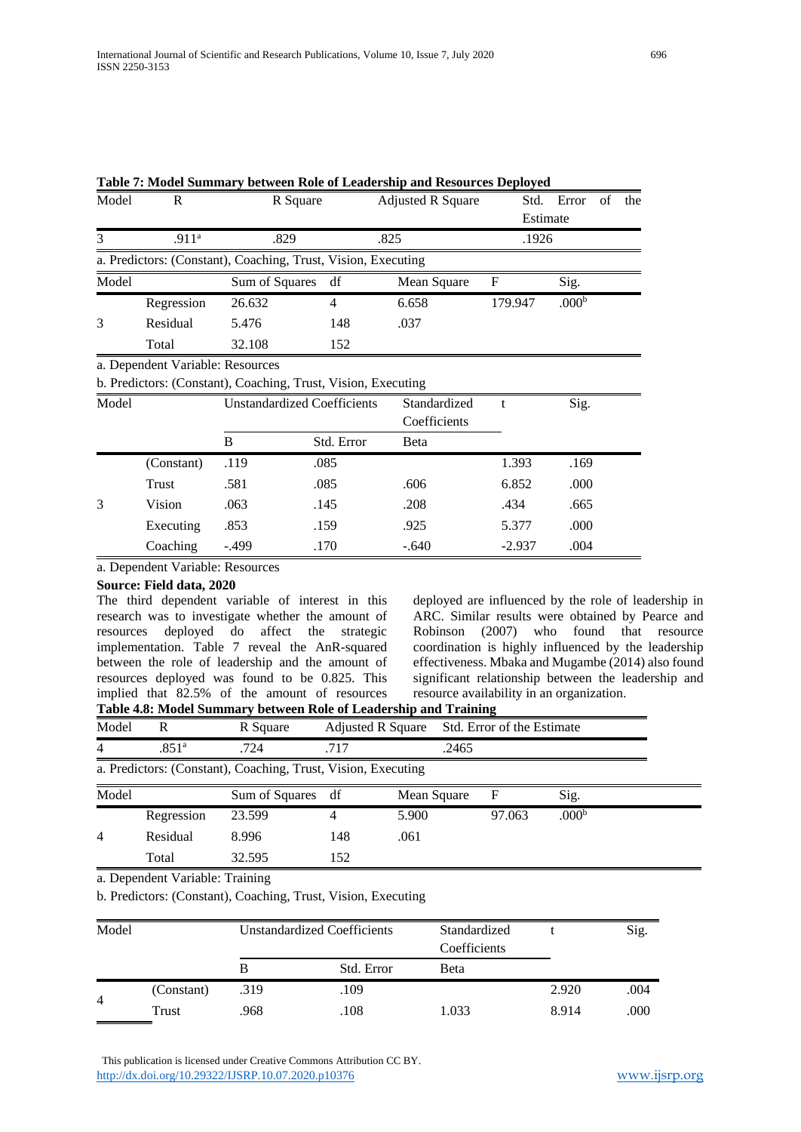| Model | R                                | R Square                                                      |     | <b>Adjusted R Square</b> |         | Std. Error        | - of | the |
|-------|----------------------------------|---------------------------------------------------------------|-----|--------------------------|---------|-------------------|------|-----|
|       |                                  |                                                               |     |                          |         | Estimate          |      |     |
| 3     | .911 <sup>a</sup>                | .829                                                          |     | .825                     | .1926   |                   |      |     |
|       |                                  | a. Predictors: (Constant), Coaching, Trust, Vision, Executing |     |                          |         |                   |      |     |
| Model |                                  | Sum of Squares df                                             |     | Mean Square              | F       | Sig.              |      |     |
|       | Regression                       | 26.632                                                        | 4   | 6.658                    | 179.947 | .000 <sup>b</sup> |      |     |
| 3     | Residual                         | 5.476                                                         | 148 | .037                     |         |                   |      |     |
|       | Total                            | 32.108                                                        | 152 |                          |         |                   |      |     |
|       | a. Dependent Variable: Resources |                                                               |     |                          |         |                   |      |     |

| Table 7: Model Summary between Role of Leadership and Resources Deployed |  |  |  |  |
|--------------------------------------------------------------------------|--|--|--|--|
|--------------------------------------------------------------------------|--|--|--|--|

| b. Predictors: (Constant), Coaching, Trust, Vision, Executing |            |                                    |            |                              |          |      |  |  |
|---------------------------------------------------------------|------------|------------------------------------|------------|------------------------------|----------|------|--|--|
| Model                                                         |            | <b>Unstandardized Coefficients</b> |            | Standardized<br>Coefficients |          | Sig. |  |  |
|                                                               |            | B                                  | Std. Error | Beta                         |          |      |  |  |
|                                                               | (Constant) | .119                               | .085       |                              | 1.393    | .169 |  |  |
|                                                               | Trust      | .581                               | .085       | .606                         | 6.852    | .000 |  |  |
| 3                                                             | Vision     | .063                               | .145       | .208                         | .434     | .665 |  |  |
|                                                               | Executing  | .853                               | .159       | .925                         | 5.377    | .000 |  |  |
|                                                               | Coaching   | $-.499$                            | .170       | $-.640$                      | $-2.937$ | .004 |  |  |

a. Dependent Variable: Resources

## **Source: Field data, 2020**

The third dependent variable of interest in this research was to investigate whether the amount of resources deployed do affect the strategic implementation. Table 7 reveal the AnR-squared between the role of leadership and the amount of resources deployed was found to be 0.825. This implied that 82.5% of the amount of resources **Table 4.8: Model Summary between Role of Leadership and Training**

deployed are influenced by the role of leadership in ARC. Similar results were obtained by Pearce and Robinson (2007) who found that resource coordination is highly influenced by the leadership effectiveness. Mbaka and Mugambe (2014) also found significant relationship between the leadership and resource availability in an organization.

| Model | R                 | R Square                                                      |      | Adjusted R Square | Std. Error of the Estimate |                   |  |
|-------|-------------------|---------------------------------------------------------------|------|-------------------|----------------------------|-------------------|--|
| 4     | .851 <sup>a</sup> | .724                                                          | .717 | .2465             |                            |                   |  |
|       |                   | a. Predictors: (Constant), Coaching, Trust, Vision, Executing |      |                   |                            |                   |  |
| Model |                   | Sum of Squares df                                             |      | Mean Square       | F                          | Sig.              |  |
|       | Regression        | 23.599                                                        |      | 5.900             | 97.063                     | .000 <sup>b</sup> |  |
| 4     | Residual          | 8.996                                                         | 148  | .061              |                            |                   |  |
|       | Total             | 32.595                                                        | 152  |                   |                            |                   |  |

a. Dependent Variable: Training

b. Predictors: (Constant), Coaching, Trust, Vision, Executing

| Model          |            | <b>Unstandardized Coefficients</b> |            | Standardized<br>Coefficients |       | Sig. |
|----------------|------------|------------------------------------|------------|------------------------------|-------|------|
|                |            |                                    | Std. Error | Beta                         |       |      |
| $\overline{4}$ | (Constant) | .319                               | .109       |                              | 2.920 | .004 |
|                | Trust      | .968                               | .108       | 1.033                        | 8.914 | .000 |

 This publication is licensed under Creative Commons Attribution CC BY. <http://dx.doi.org/10.29322/IJSRP.10.07.2020.p10376> [www.ijsrp.org](http://ijsrp.org/)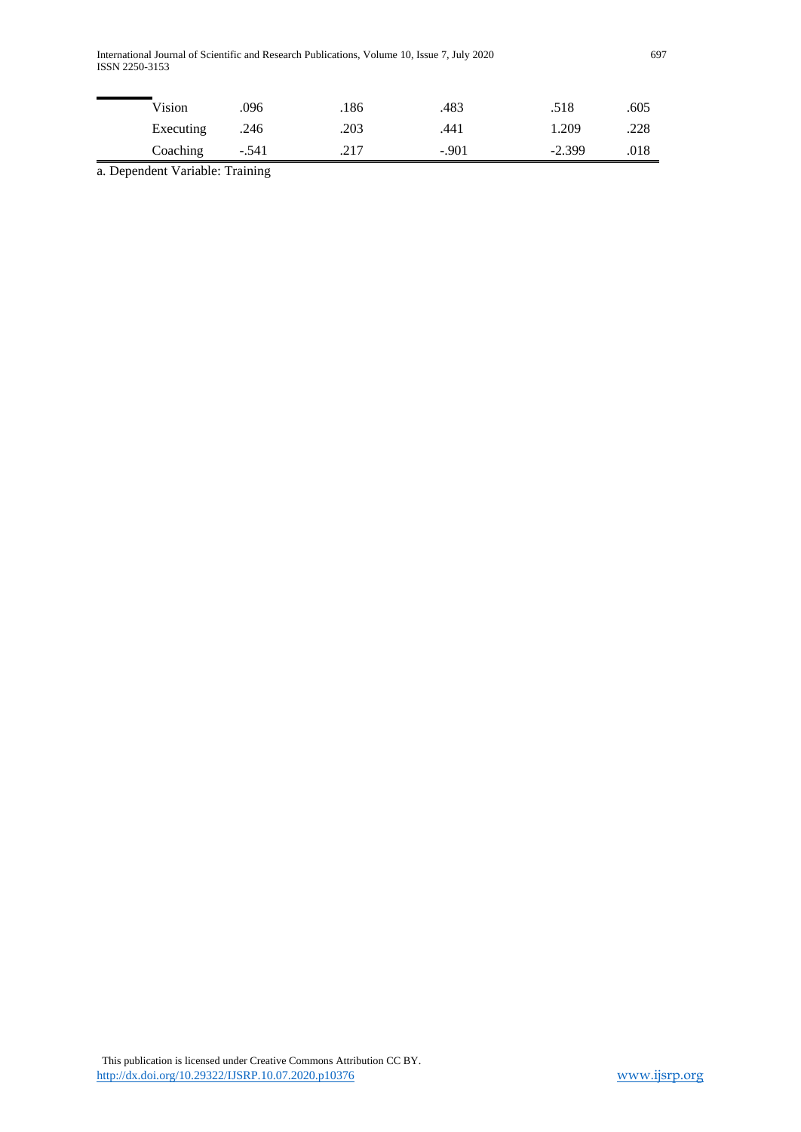International Journal of Scientific and Research Publications, Volume 10, Issue 7, July 2020 697 ISSN 2250-3153

| Vision    | .096    | .186 | .483    | .518     | .605 |
|-----------|---------|------|---------|----------|------|
| Executing | .246    | .203 | .441    | 1.209    | .228 |
| Coaching  | $-.541$ | .217 | $-.901$ | $-2.399$ | .018 |

a. Dependent Variable: Training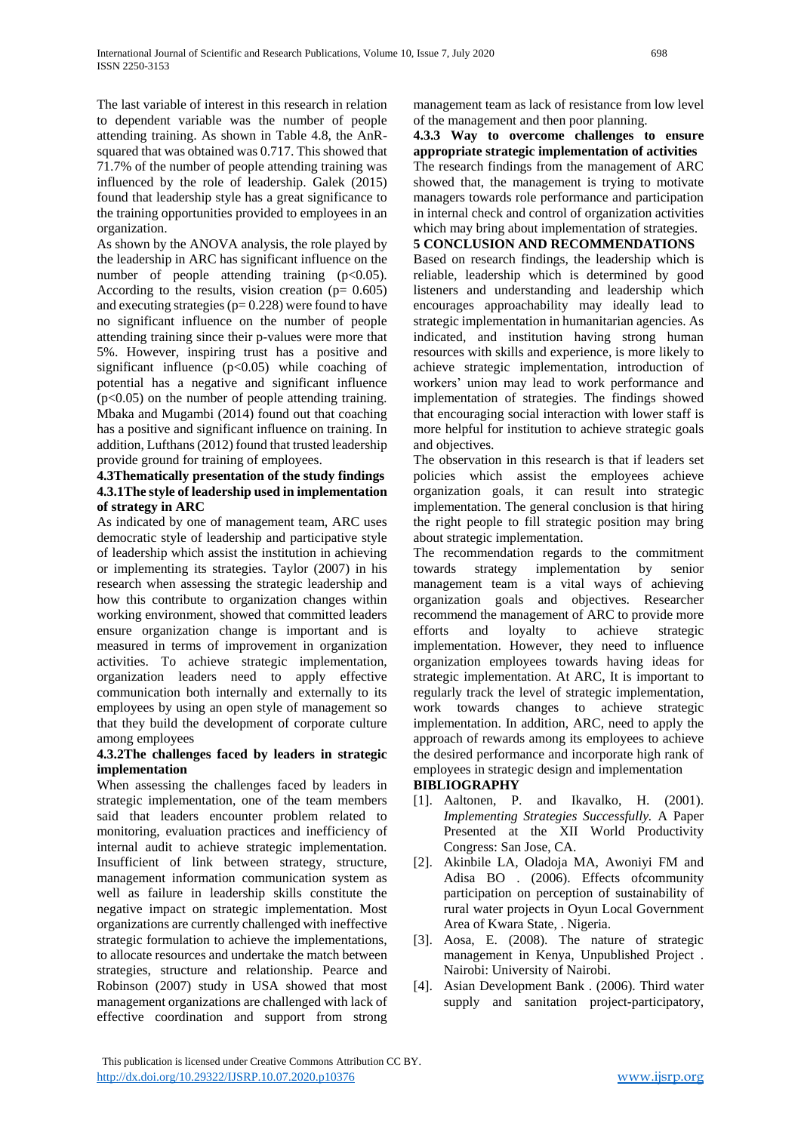The last variable of interest in this research in relation to dependent variable was the number of people attending training. As shown in Table 4.8, the AnRsquared that was obtained was 0.717. This showed that 71.7% of the number of people attending training was influenced by the role of leadership. Galek (2015) found that leadership style has a great significance to the training opportunities provided to employees in an organization.

As shown by the ANOVA analysis, the role played by the leadership in ARC has significant influence on the number of people attending training  $(p<0.05)$ . According to the results, vision creation ( $p = 0.605$ ) and executing strategies ( $p= 0.228$ ) were found to have no significant influence on the number of people attending training since their p-values were more that 5%. However, inspiring trust has a positive and significant influence  $(p<0.05)$  while coaching of potential has a negative and significant influence  $(p<0.05)$  on the number of people attending training. Mbaka and Mugambi (2014) found out that coaching has a positive and significant influence on training. In addition, Lufthans (2012) found that trusted leadership provide ground for training of employees.

## **4.3Thematically presentation of the study findings 4.3.1The style of leadership used in implementation of strategy in ARC**

As indicated by one of management team, ARC uses democratic style of leadership and participative style of leadership which assist the institution in achieving or implementing its strategies. Taylor (2007) in his research when assessing the strategic leadership and how this contribute to organization changes within working environment, showed that committed leaders ensure organization change is important and is measured in terms of improvement in organization activities. To achieve strategic implementation, organization leaders need to apply effective communication both internally and externally to its employees by using an open style of management so that they build the development of corporate culture among employees

## **4.3.2The challenges faced by leaders in strategic implementation**

When assessing the challenges faced by leaders in strategic implementation, one of the team members said that leaders encounter problem related to monitoring, evaluation practices and inefficiency of internal audit to achieve strategic implementation. Insufficient of link between strategy, structure, management information communication system as well as failure in leadership skills constitute the negative impact on strategic implementation. Most organizations are currently challenged with ineffective strategic formulation to achieve the implementations, to allocate resources and undertake the match between strategies, structure and relationship. Pearce and Robinson (2007) study in USA showed that most management organizations are challenged with lack of effective coordination and support from strong

management team as lack of resistance from low level of the management and then poor planning.

**4.3.3 Way to overcome challenges to ensure appropriate strategic implementation of activities** The research findings from the management of ARC showed that, the management is trying to motivate managers towards role performance and participation in internal check and control of organization activities which may bring about implementation of strategies.

# **5 CONCLUSION AND RECOMMENDATIONS**

Based on research findings, the leadership which is reliable, leadership which is determined by good listeners and understanding and leadership which encourages approachability may ideally lead to strategic implementation in humanitarian agencies. As indicated, and institution having strong human resources with skills and experience, is more likely to achieve strategic implementation, introduction of workers' union may lead to work performance and implementation of strategies. The findings showed that encouraging social interaction with lower staff is more helpful for institution to achieve strategic goals and objectives.

The observation in this research is that if leaders set policies which assist the employees achieve organization goals, it can result into strategic implementation. The general conclusion is that hiring the right people to fill strategic position may bring about strategic implementation.

The recommendation regards to the commitment towards strategy implementation by senior management team is a vital ways of achieving organization goals and objectives. Researcher recommend the management of ARC to provide more efforts and loyalty to achieve strategic implementation. However, they need to influence organization employees towards having ideas for strategic implementation. At ARC, It is important to regularly track the level of strategic implementation, work towards changes to achieve strategic implementation. In addition, ARC, need to apply the approach of rewards among its employees to achieve the desired performance and incorporate high rank of employees in strategic design and implementation

## **BIBLIOGRAPHY**

- [1]. Aaltonen, P. and Ikavalko, H. (2001). *Implementing Strategies Successfully.* A Paper Presented at the XII World Productivity Congress: San Jose, CA.
- [2]. Akinbile LA, Oladoja MA, Awoniyi FM and Adisa BO . (2006). Effects ofcommunity participation on perception of sustainability of rural water projects in Oyun Local Government Area of Kwara State, . Nigeria.
- [3]. Aosa, E. (2008). The nature of strategic management in Kenya, Unpublished Project . Nairobi: University of Nairobi.
- [4]. Asian Development Bank . (2006). Third water supply and sanitation project-participatory,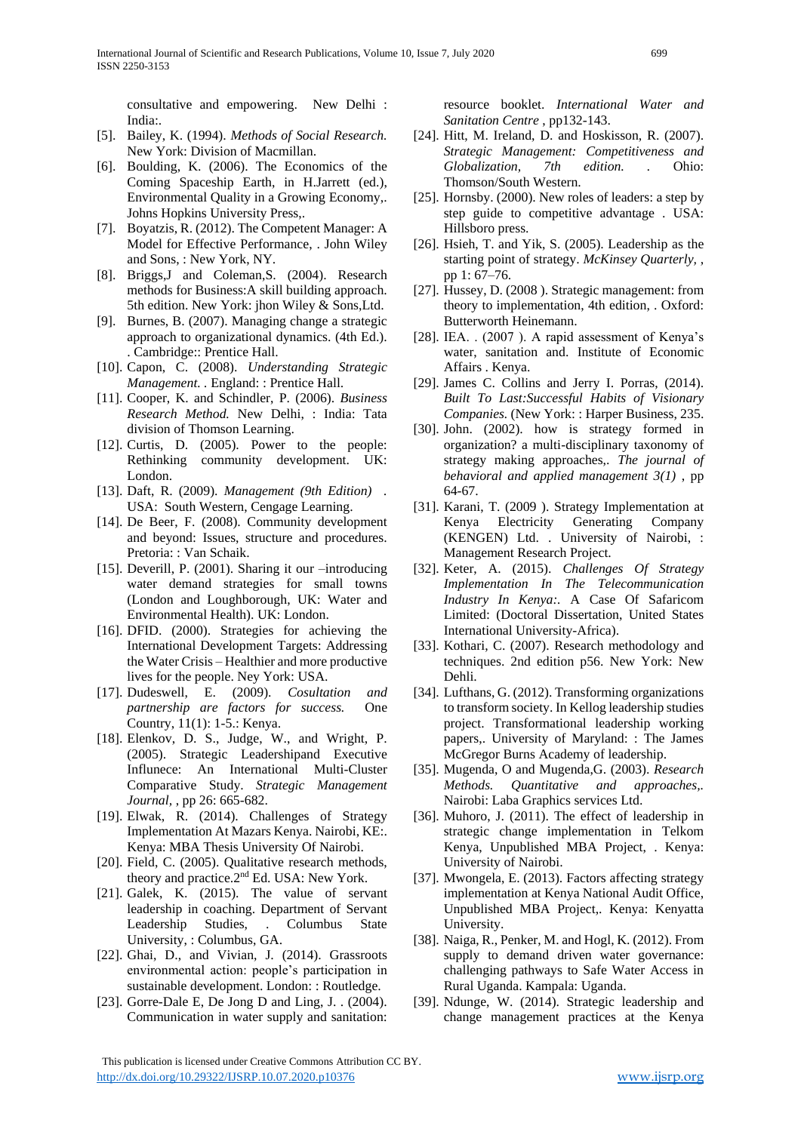consultative and empowering. New Delhi : India:.

- [5]. Bailey, K. (1994). *Methods of Social Research.* New York: Division of Macmillan.
- [6]. Boulding, K. (2006). The Economics of the Coming Spaceship Earth, in H.Jarrett (ed.), Environmental Quality in a Growing Economy,. Johns Hopkins University Press,.
- [7]. Boyatzis, R. (2012). The Competent Manager: A Model for Effective Performance, . John Wiley and Sons, : New York, NY.
- [8]. Briggs,J and Coleman,S. (2004). Research methods for Business:A skill building approach. 5th edition. New York: jhon Wiley & Sons,Ltd.
- [9]. Burnes, B. (2007). Managing change a strategic approach to organizational dynamics. (4th Ed.). . Cambridge:: Prentice Hall.
- [10]. Capon, C. (2008). *Understanding Strategic Management. .* England: : Prentice Hall.
- [11]. Cooper, K. and Schindler, P. (2006). *Business Research Method.* New Delhi, : India: Tata division of Thomson Learning.
- [12]. Curtis, D. (2005). Power to the people: Rethinking community development. UK: London.
- [13]. Daft, R. (2009). *Management (9th Edition) .* USA: South Western, Cengage Learning.
- [14]. De Beer, F. (2008). Community development and beyond: Issues, structure and procedures. Pretoria: : Van Schaik.
- [15]. Deverill, P. (2001). Sharing it our –introducing water demand strategies for small towns (London and Loughborough, UK: Water and Environmental Health). UK: London.
- [16]. DFID. (2000). Strategies for achieving the International Development Targets: Addressing the Water Crisis – Healthier and more productive lives for the people. Ney York: USA.
- [17]. Dudeswell, E. (2009). *Cosultation and partnership are factors for success.* One Country, 11(1): 1-5.: Kenya.
- [18]. Elenkov, D. S., Judge, W., and Wright, P. (2005). Strategic Leadershipand Executive Influnece: An International Multi-Cluster Comparative Study. *Strategic Management Journal,* , pp 26: 665-682.
- [19]. Elwak, R. (2014). Challenges of Strategy Implementation At Mazars Kenya. Nairobi, KE:. Kenya: MBA Thesis University Of Nairobi.
- [20]. Field, C. (2005). Qualitative research methods, theory and practice.2nd Ed. USA: New York.
- [21]. Galek, K. (2015). The value of servant leadership in coaching. Department of Servant Leadership Studies, . Columbus State University, : Columbus, GA.
- [22]. Ghai, D., and Vivian, J. (2014). Grassroots environmental action: people's participation in sustainable development. London: : Routledge.
- [23]. Gorre-Dale E, De Jong D and Ling, J. . (2004). Communication in water supply and sanitation:

resource booklet. *International Water and Sanitation Centre* , pp132-143.

- [24]. Hitt, M. Ireland, D. and Hoskisson, R. (2007). *Strategic Management: Competitiveness and Globalization, 7th edition. .* Ohio: Thomson/South Western.
- [25]. Hornsby. (2000). New roles of leaders: a step by step guide to competitive advantage . USA: Hillsboro press.
- [26]. Hsieh, T. and Yik, S. (2005). Leadership as the starting point of strategy. *McKinsey Quarterly,* , pp 1: 67–76.
- [27]. Hussey, D. (2008). Strategic management: from theory to implementation, 4th edition, . Oxford: Butterworth Heinemann.
- [28]. IEA. . (2007 ). A rapid assessment of Kenya's water, sanitation and. Institute of Economic Affairs . Kenya.
- [29]. James C. Collins and Jerry I. Porras, (2014). *Built To Last:Successful Habits of Visionary Companies.* (New York: : Harper Business, 235.
- [30]. John. (2002). how is strategy formed in organization? a multi-disciplinary taxonomy of strategy making approaches,. *The journal of behavioral and applied management 3(1)* , pp 64-67.
- [31]. Karani, T. (2009 ). Strategy Implementation at Kenya Electricity Generating Company (KENGEN) Ltd. . University of Nairobi, : Management Research Project.
- [32]. Keter, A. (2015). *Challenges Of Strategy Implementation In The Telecommunication Industry In Kenya:.* A Case Of Safaricom Limited: (Doctoral Dissertation, United States International University-Africa).
- [33]. Kothari, C. (2007). Research methodology and techniques. 2nd edition p56. New York: New Dehli.
- [34]. Lufthans, G. (2012). Transforming organizations to transform society. In Kellog leadership studies project. Transformational leadership working papers,. University of Maryland: : The James McGregor Burns Academy of leadership.
- [35]. Mugenda, O and Mugenda,G. (2003). *Research Methods. Quantitative and approaches,.* Nairobi: Laba Graphics services Ltd.
- [36]. Muhoro, J. (2011). The effect of leadership in strategic change implementation in Telkom Kenya, Unpublished MBA Project, . Kenya: University of Nairobi.
- [37]. Mwongela, E. (2013). Factors affecting strategy implementation at Kenya National Audit Office, Unpublished MBA Project,. Kenya: Kenyatta University.
- [38]. Naiga, R., Penker, M. and Hogl, K. (2012). From supply to demand driven water governance: challenging pathways to Safe Water Access in Rural Uganda. Kampala: Uganda.
- [39]. Ndunge, W. (2014). Strategic leadership and change management practices at the Kenya